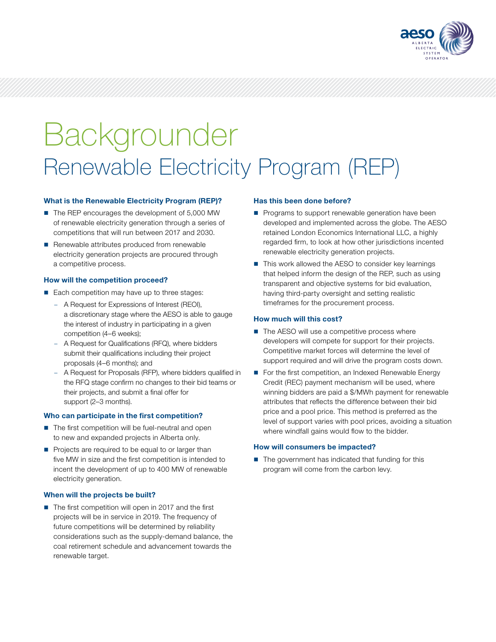

# Backgrounder Renewable Electricity Program (REP)

# What is the Renewable Electricity Program (REP)?

- The REP encourages the development of 5,000 MW of renewable electricity generation through a series of competitions that will run between 2017 and 2030.
- $\blacksquare$  Renewable attributes produced from renewable electricity generation projects are procured through a competitive process.

## How will the competition proceed?

- Each competition may have up to three stages:
	- A Request for Expressions of Interest (REOI), a discretionary stage where the AESO is able to gauge the interest of industry in participating in a given competition (4–6 weeks);
	- A Request for Qualifications (RFQ), where bidders submit their qualifications including their project proposals (4–6 months); and
	- A Request for Proposals (RFP), where bidders qualified in the RFQ stage confirm no changes to their bid teams or their projects, and submit a final offer for support (2–3 months).

## Who can participate in the first competition?

- $\blacksquare$  The first competition will be fuel-neutral and open to new and expanded projects in Alberta only.
- Projects are required to be equal to or larger than five MW in size and the first competition is intended to incent the development of up to 400 MW of renewable electricity generation.

## When will the projects be built?

■ The first competition will open in 2017 and the first projects will be in service in 2019. The frequency of future competitions will be determined by reliability considerations such as the supply-demand balance, the coal retirement schedule and advancement towards the renewable target.

#### Has this been done before?

- **Programs to support renewable generation have been** developed and implemented across the globe. The AESO retained London Economics International LLC, a highly regarded firm, to look at how other jurisdictions incented renewable electricity generation projects.
- This work allowed the AESO to consider key learnings that helped inform the design of the REP, such as using transparent and objective systems for bid evaluation, having third-party oversight and setting realistic timeframes for the procurement process.

## How much will this cost?

- $\blacksquare$  The AESO will use a competitive process where developers will compete for support for their projects. Competitive market forces will determine the level of support required and will drive the program costs down.
- For the first competition, an Indexed Renewable Energy Credit (REC) payment mechanism will be used, where winning bidders are paid a \$/MWh payment for renewable attributes that reflects the difference between their bid price and a pool price. This method is preferred as the level of support varies with pool prices, avoiding a situation where windfall gains would flow to the bidder.

## How will consumers be impacted?

■ The government has indicated that funding for this program will come from the carbon levy.